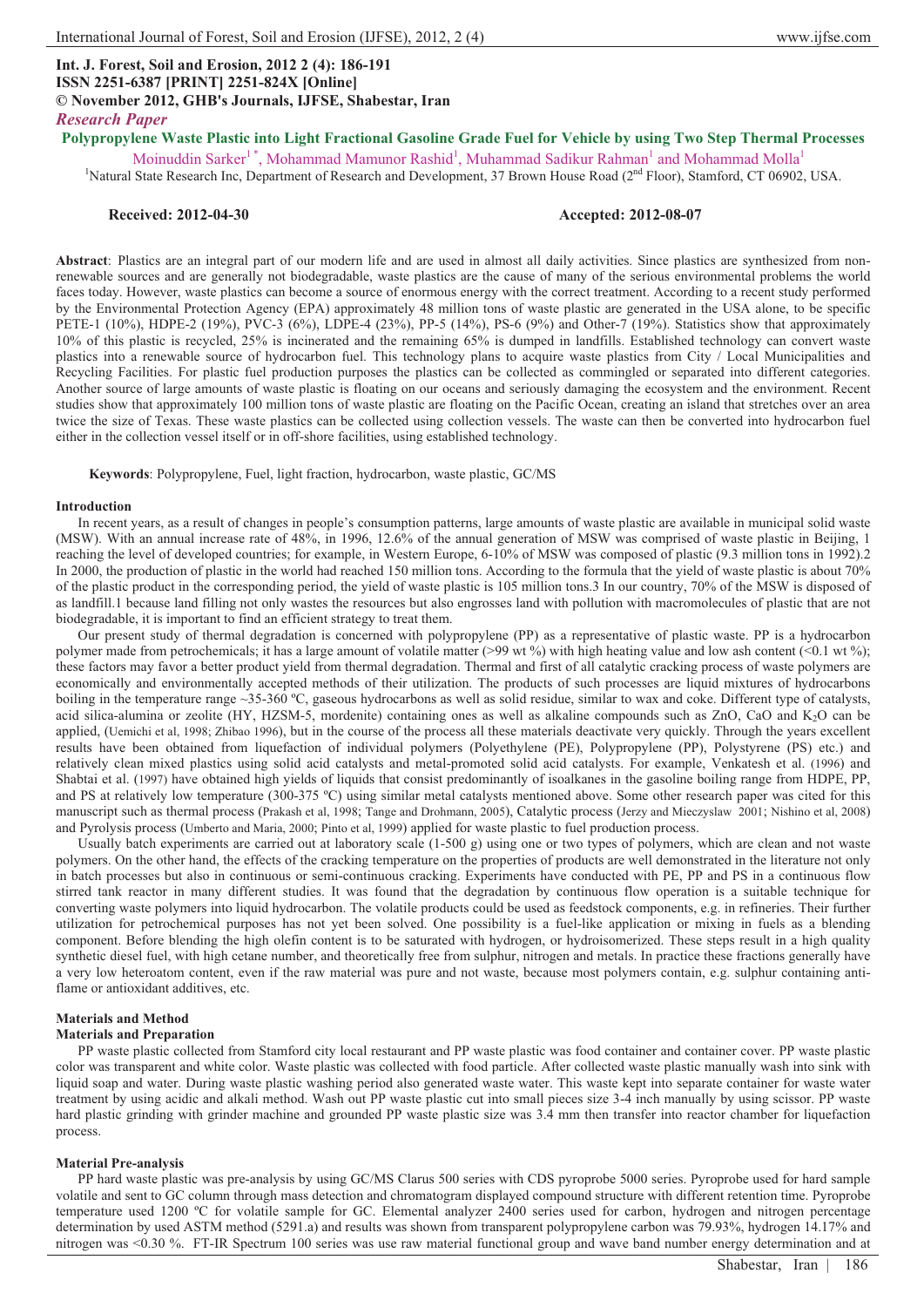# **Int. J. Forest, Soil and Erosion, 2012 2 (4): 186-191 ISSN 2251-6387 [PRINT] 2251-824X [Online] © November 2012, GHB's Journals, IJFSE, Shabestar, Iran** *Research Paper*

**Polypropylene Waste Plastic into Light Fractional Gasoline Grade Fuel for Vehicle by using Two Step Thermal Processes** 

Moinuddin Sarker<sup>1</sup>\*, Mohammad Mamunor Rashid<sup>1</sup>, Muhammad Sadikur Rahman<sup>1</sup> and Mohammad Molla<sup>1</sup> <sup>1</sup>Natural State Research Inc, Department of Research and Development, 37 Brown House Road (2<sup>nd</sup> Floor), Stamford, CT 06902, USA.

# **Received: 2012-04-30 Accepted: 2012-08-07**

**Abstract**: Plastics are an integral part of our modern life and are used in almost all daily activities. Since plastics are synthesized from nonrenewable sources and are generally not biodegradable, waste plastics are the cause of many of the serious environmental problems the world faces today. However, waste plastics can become a source of enormous energy with the correct treatment. According to a recent study performed by the Environmental Protection Agency (EPA) approximately 48 million tons of waste plastic are generated in the USA alone, to be specific PETE-1 (10%), HDPE-2 (19%), PVC-3 (6%), LDPE-4 (23%), PP-5 (14%), PS-6 (9%) and Other-7 (19%). Statistics show that approximately 10% of this plastic is recycled, 25% is incinerated and the remaining 65% is dumped in landfills. Established technology can convert waste plastics into a renewable source of hydrocarbon fuel. This technology plans to acquire waste plastics from City / Local Municipalities and Recycling Facilities. For plastic fuel production purposes the plastics can be collected as commingled or separated into different categories. Another source of large amounts of waste plastic is floating on our oceans and seriously damaging the ecosystem and the environment. Recent studies show that approximately 100 million tons of waste plastic are floating on the Pacific Ocean, creating an island that stretches over an area twice the size of Texas. These waste plastics can be collected using collection vessels. The waste can then be converted into hydrocarbon fuel either in the collection vessel itself or in off-shore facilities, using established technology.

**Keywords**: Polypropylene, Fuel, light fraction, hydrocarbon, waste plastic, GC/MS

#### **Introduction**

In recent years, as a result of changes in people's consumption patterns, large amounts of waste plastic are available in municipal solid waste (MSW). With an annual increase rate of 48%, in 1996, 12.6% of the annual generation of MSW was comprised of waste plastic in Beijing, 1 reaching the level of developed countries; for example, in Western Europe, 6-10% of MSW was composed of plastic (9.3 million tons in 1992).2 In 2000, the production of plastic in the world had reached 150 million tons. According to the formula that the yield of waste plastic is about 70% of the plastic product in the corresponding period, the yield of waste plastic is 105 million tons.3 In our country, 70% of the MSW is disposed of as landfill.1 because land filling not only wastes the resources but also engrosses land with pollution with macromolecules of plastic that are not biodegradable, it is important to find an efficient strategy to treat them.

Our present study of thermal degradation is concerned with polypropylene (PP) as a representative of plastic waste. PP is a hydrocarbon polymer made from petrochemicals; it has a large amount of volatile matter (>99 wt %) with high heating value and low ash content (<0.1 wt %); these factors may favor a better product yield from thermal degradation. Thermal and first of all catalytic cracking process of waste polymers are economically and environmentally accepted methods of their utilization. The products of such processes are liquid mixtures of hydrocarbons boiling in the temperature range ~35-360 °C, gaseous hydrocarbons as well as solid residue, similar to wax and coke. Different type of catalysts, acid silica-alumina or zeolite (HY, HZSM-5, mordenite) containing ones as well as alkaline compounds such as ZnO, CaO and K<sub>2</sub>O can be applied, (Uemichi et al, 1998; Zhibao 1996), but in the course of the process all these materials deactivate very quickly. Through the years excellent results have been obtained from liquefaction of individual polymers (Polyethylene (PE), Polypropylene (PP), Polystyrene (PS) etc.) and relatively clean mixed plastics using solid acid catalysts and metal-promoted solid acid catalysts. For example, Venkatesh et al. (1996) and Shabtai et al. (1997) have obtained high yields of liquids that consist predominantly of isoalkanes in the gasoline boiling range from HDPE, PP, and PS at relatively low temperature (300-375 ºC) using similar metal catalysts mentioned above. Some other research paper was cited for this manuscript such as thermal process (Prakash et al, 1998; Tange and Drohmann, 2005), Catalytic process (Jerzy and Mieczyslaw 2001; Nishino et al, 2008) and Pyrolysis process (Umberto and Maria, 2000; Pinto et al, 1999) applied for waste plastic to fuel production process.

Usually batch experiments are carried out at laboratory scale  $(1-500 g)$  using one or two types of polymers, which are clean and not waste polymers. On the other hand, the effects of the cracking temperature on the properties of products are well demonstrated in the literature not only in batch processes but also in continuous or semi-continuous cracking. Experiments have conducted with PE, PP and PS in a continuous flow stirred tank reactor in many different studies. It was found that the degradation by continuous flow operation is a suitable technique for converting waste polymers into liquid hydrocarbon. The volatile products could be used as feedstock components, e.g. in refineries. Their further utilization for petrochemical purposes has not yet been solved. One possibility is a fuel-like application or mixing in fuels as a blending component. Before blending the high olefin content is to be saturated with hydrogen, or hydroisomerized. These steps result in a high quality synthetic diesel fuel, with high cetane number, and theoretically free from sulphur, nitrogen and metals. In practice these fractions generally have a very low heteroatom content, even if the raw material was pure and not waste, because most polymers contain, e.g. sulphur containing antiflame or antioxidant additives, etc.

### **Materials and Method**

#### **Materials and Preparation**

PP waste plastic collected from Stamford city local restaurant and PP waste plastic was food container and container cover. PP waste plastic color was transparent and white color. Waste plastic was collected with food particle. After collected waste plastic manually wash into sink with liquid soap and water. During waste plastic washing period also generated waste water. This waste kept into separate container for waste water treatment by using acidic and alkali method. Wash out PP waste plastic cut into small pieces size 3-4 inch manually by using scissor. PP waste hard plastic grinding with grinder machine and grounded PP waste plastic size was 3.4 mm then transfer into reactor chamber for liquefaction process.

## **Material Pre-analysis**

PP hard waste plastic was pre-analysis by using GC/MS Clarus 500 series with CDS pyroprobe 5000 series. Pyroprobe used for hard sample volatile and sent to GC column through mass detection and chromatogram displayed compound structure with different retention time. Pyroprobe temperature used 1200 ºC for volatile sample for GC. Elemental analyzer 2400 series used for carbon, hydrogen and nitrogen percentage determination by used ASTM method (5291.a) and results was shown from transparent polypropylene carbon was 79.93%, hydrogen 14.17% and nitrogen was <0.30 %. FT-IR Spectrum 100 series was use raw material functional group and wave band number energy determination and at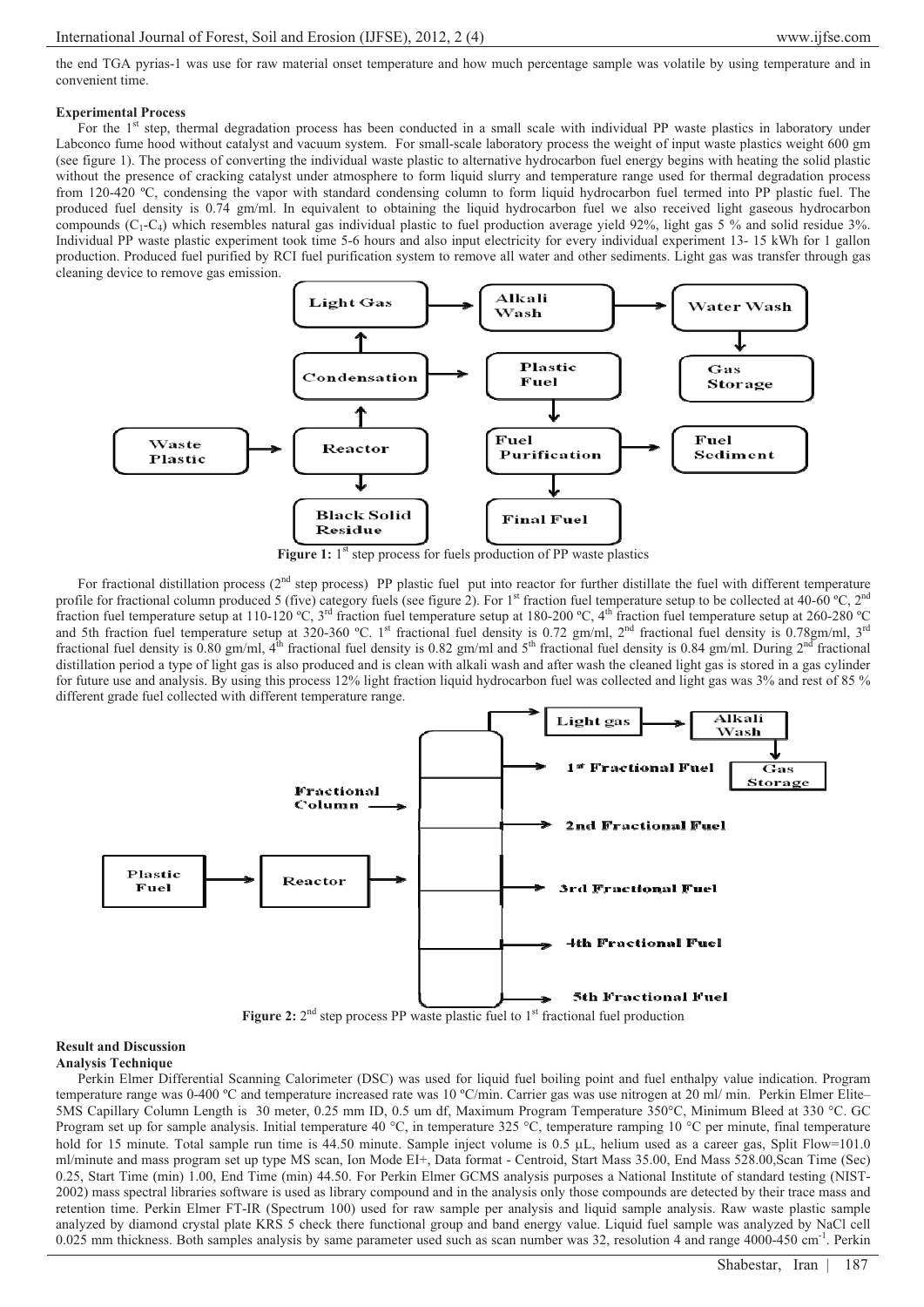the end TGA pyrias-1 was use for raw material onset temperature and how much percentage sample was volatile by using temperature and in convenient time.

## **Experimental Process**

For the 1<sup>st</sup> step, thermal degradation process has been conducted in a small scale with individual PP waste plastics in laboratory under Labconco fume hood without catalyst and vacuum system. For small-scale laboratory process the weight of input waste plastics weight 600 gm (see figure 1). The process of converting the individual waste plastic to alternative hydrocarbon fuel energy begins with heating the solid plastic without the presence of cracking catalyst under atmosphere to form liquid slurry and temperature range used for thermal degradation process from 120-420 ºC, condensing the vapor with standard condensing column to form liquid hydrocarbon fuel termed into PP plastic fuel. The produced fuel density is 0.74 gm/ml. In equivalent to obtaining the liquid hydrocarbon fuel we also received light gaseous hydrocarbon compounds  $(C_1-C_4)$  which resembles natural gas individual plastic to fuel production average yield 92%, light gas 5 % and solid residue 3%. Individual PP waste plastic experiment took time 5-6 hours and also input electricity for every individual experiment 13- 15 kWh for 1 gallon production. Produced fuel purified by RCI fuel purification system to remove all water and other sediments. Light gas was transfer through gas cleaning device to remove gas emission.



**Figure 1:** 1<sup>st</sup> step process for fuels production of PP waste plastics

For fractional distillation process ( $2<sup>nd</sup>$  step process) PP plastic fuel put into reactor for further distillate the fuel with different temperature profile for fractional column produced 5 (five) category fuels (see figure 2). For 1<sup>st</sup> fraction fuel temperature setup to be collected at 40-60 °C, 2<sup>nd</sup> fraction fuel temperature setup at 110-120 °C, 3<sup>rd</sup> fraction fuel temperature setup at 180-200 °C, 4<sup>th</sup> fraction fuel temperature setup at 260-280 °C and 5th fraction fuel temperature setup at 320-360 °C. 1<sup>st</sup> fractional fuel density is 0.72 gm/ml, 2<sup>nd</sup> fractional fuel density is 0.78gm/ml, 3<sup>rd</sup> fractional fuel density is 0.80 gm/ml,  $4^{\text{th}}$  fractional fuel density is 0.82 gm/ml and  $5^{\text{th}}$  fractional fuel density is 0.84 gm/ml. During  $2^{\text{nd}}$  fractional distillation period a type of light gas is also produced and is clean with alkali wash and after wash the cleaned light gas is stored in a gas cylinder for future use and analysis. By using this process 12% light fraction liquid hydrocarbon fuel was collected and light gas was 3% and rest of 85 % different grade fuel collected with different temperature range.



#### **Result and Discussion Analysis Technique**

Perkin Elmer Differential Scanning Calorimeter (DSC) was used for liquid fuel boiling point and fuel enthalpy value indication. Program temperature range was 0-400 °C and temperature increased rate was 10 °C/min. Carrier gas was use nitrogen at 20 ml/ min. Perkin Elmer Elite-5MS Capillary Column Length is 30 meter, 0.25 mm ID, 0.5 um df, Maximum Program Temperature 350°C, Minimum Bleed at 330 °C. GC Program set up for sample analysis. Initial temperature 40 °C, in temperature 325 °C, temperature ramping 10 °C per minute, final temperature hold for 15 minute. Total sample run time is 44.50 minute. Sample inject volume is  $0.5 \mu L$ , helium used as a career gas, Split Flow=101.0 ml/minute and mass program set up type MS scan, Ion Mode EI+, Data format - Centroid, Start Mass 35.00, End Mass 528.00,Scan Time (Sec) 0.25, Start Time (min) 1.00, End Time (min) 44.50. For Perkin Elmer GCMS analysis purposes a National Institute of standard testing (NIST-2002) mass spectral libraries software is used as library compound and in the analysis only those compounds are detected by their trace mass and retention time. Perkin Elmer FT-IR (Spectrum 100) used for raw sample per analysis and liquid sample analysis. Raw waste plastic sample analyzed by diamond crystal plate KRS 5 check there functional group and band energy value. Liquid fuel sample was analyzed by NaCl cell 0.025 mm thickness. Both samples analysis by same parameter used such as scan number was 32, resolution 4 and range 4000-450 cm<sup>-1</sup>. Perkin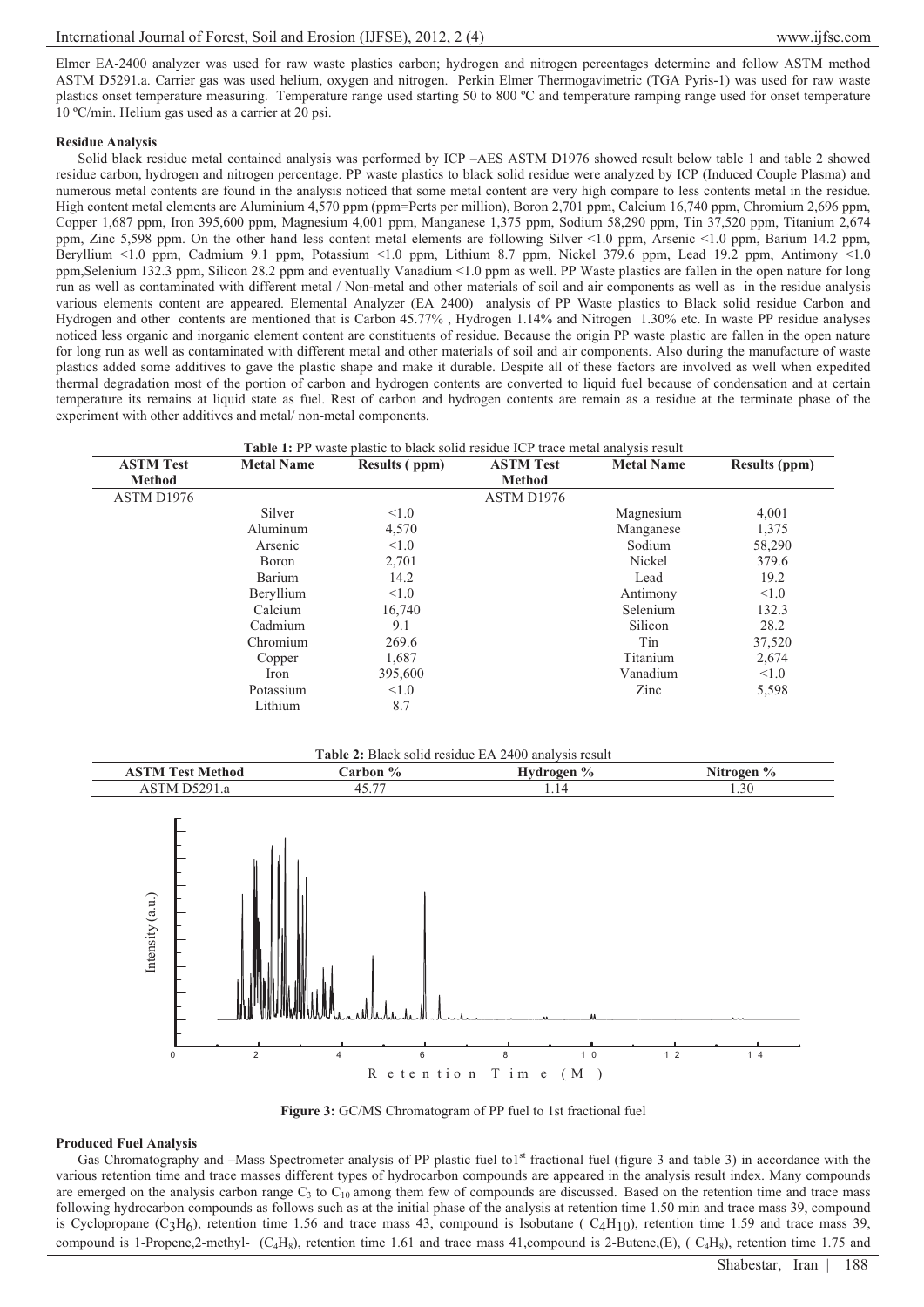Elmer EA-2400 analyzer was used for raw waste plastics carbon; hydrogen and nitrogen percentages determine and follow ASTM method ASTM D5291.a. Carrier gas was used helium, oxygen and nitrogen. Perkin Elmer Thermogavimetric (TGA Pyris-1) was used for raw waste plastics onset temperature measuring. Temperature range used starting 50 to 800 ºC and temperature ramping range used for onset temperature 10 ºC/min. Helium gas used as a carrier at 20 psi.

## **Residue Analysis**

Solid black residue metal contained analysis was performed by ICP –AES ASTM D1976 showed result below table 1 and table 2 showed residue carbon, hydrogen and nitrogen percentage. PP waste plastics to black solid residue were analyzed by ICP (Induced Couple Plasma) and numerous metal contents are found in the analysis noticed that some metal content are very high compare to less contents metal in the residue. High content metal elements are Aluminium 4,570 ppm (ppm=Perts per million), Boron 2,701 ppm, Calcium 16,740 ppm, Chromium 2,696 ppm, Copper 1,687 ppm, Iron 395,600 ppm, Magnesium 4,001 ppm, Manganese 1,375 ppm, Sodium 58,290 ppm, Tin 37,520 ppm, Titanium 2,674 ppm, Zinc 5,598 ppm. On the other hand less content metal elements are following Silver <1.0 ppm, Arsenic <1.0 ppm, Barium 14.2 ppm, Beryllium <1.0 ppm, Cadmium 9.1 ppm, Potassium <1.0 ppm, Lithium 8.7 ppm, Nickel 379.6 ppm, Lead 19.2 ppm, Antimony <1.0 ppm,Selenium 132.3 ppm, Silicon 28.2 ppm and eventually Vanadium <1.0 ppm as well. PP Waste plastics are fallen in the open nature for long run as well as contaminated with different metal / Non-metal and other materials of soil and air components as well as in the residue analysis various elements content are appeared. Elemental Analyzer (EA 2400) analysis of PP Waste plastics to Black solid residue Carbon and Hydrogen and other contents are mentioned that is Carbon 45.77% , Hydrogen 1.14% and Nitrogen 1.30% etc. In waste PP residue analyses noticed less organic and inorganic element content are constituents of residue. Because the origin PP waste plastic are fallen in the open nature for long run as well as contaminated with different metal and other materials of soil and air components. Also during the manufacture of waste plastics added some additives to gave the plastic shape and make it durable. Despite all of these factors are involved as well when expedited thermal degradation most of the portion of carbon and hydrogen contents are converted to liquid fuel because of condensation and at certain temperature its remains at liquid state as fuel. Rest of carbon and hydrogen contents are remain as a residue at the terminate phase of the experiment with other additives and metal/ non-metal components.

| <b>Table 1:</b> PP waste plastic to black solid residue ICP trace metal analysis result |                   |               |                  |                   |                      |  |
|-----------------------------------------------------------------------------------------|-------------------|---------------|------------------|-------------------|----------------------|--|
| <b>ASTM Test</b>                                                                        | <b>Metal Name</b> | Results (ppm) | <b>ASTM Test</b> | <b>Metal Name</b> | <b>Results (ppm)</b> |  |
| Method                                                                                  |                   |               | <b>Method</b>    |                   |                      |  |
| ASTM D1976                                                                              |                   |               | ASTM D1976       |                   |                      |  |
|                                                                                         | Silver            | < 1.0         |                  | Magnesium         | 4,001                |  |
|                                                                                         | Aluminum          | 4,570         |                  | Manganese         | 1,375                |  |
|                                                                                         | Arsenic           | < 1.0         |                  | Sodium            | 58,290               |  |
|                                                                                         | Boron             | 2,701         |                  | Nickel            | 379.6                |  |
|                                                                                         | Barium            | 14.2          |                  | Lead              | 19.2                 |  |
|                                                                                         | Beryllium         | < 1.0         |                  | Antimony          | < 1.0                |  |
|                                                                                         | Calcium           | 16,740        |                  | Selenium          | 132.3                |  |
|                                                                                         | Cadmium           | 9.1           |                  | Silicon           | 28.2                 |  |
|                                                                                         | Chromium          | 269.6         |                  | Tin               | 37,520               |  |
|                                                                                         | Copper            | 1,687         |                  | Titanium          | 2,674                |  |
|                                                                                         | Iron              | 395,600       |                  | Vanadium          | < 1.0                |  |
|                                                                                         | Potassium         | < 1.0         |                  | Zinc              | 5,598                |  |
|                                                                                         | Lithium           | 8.7           |                  |                   |                      |  |





### **Produced Fuel Analysis**

Gas Chromatography and –Mass Spectrometer analysis of PP plastic fuel to1<sup>st</sup> fractional fuel (figure 3 and table 3) in accordance with the various retention time and trace masses different types of hydrocarbon compounds are appeared in the analysis result index. Many compounds are emerged on the analysis carbon range  $C_3$  to  $C_{10}$  among them few of compounds are discussed. Based on the retention time and trace mass following hydrocarbon compounds as follows such as at the initial phase of the analysis at retention time 1.50 min and trace mass 39, compound is Cyclopropane (C<sub>3</sub>H<sub>6</sub>), retention time 1.56 and trace mass 43, compound is Isobutane ( $C_4H_{10}$ ), retention time 1.59 and trace mass 39, compound is 1-Propene,2-methyl-  $(C_4H_8)$ , retention time 1.61 and trace mass 41,compound is 2-Butene,(E), ( $C_4H_8$ ), retention time 1.75 and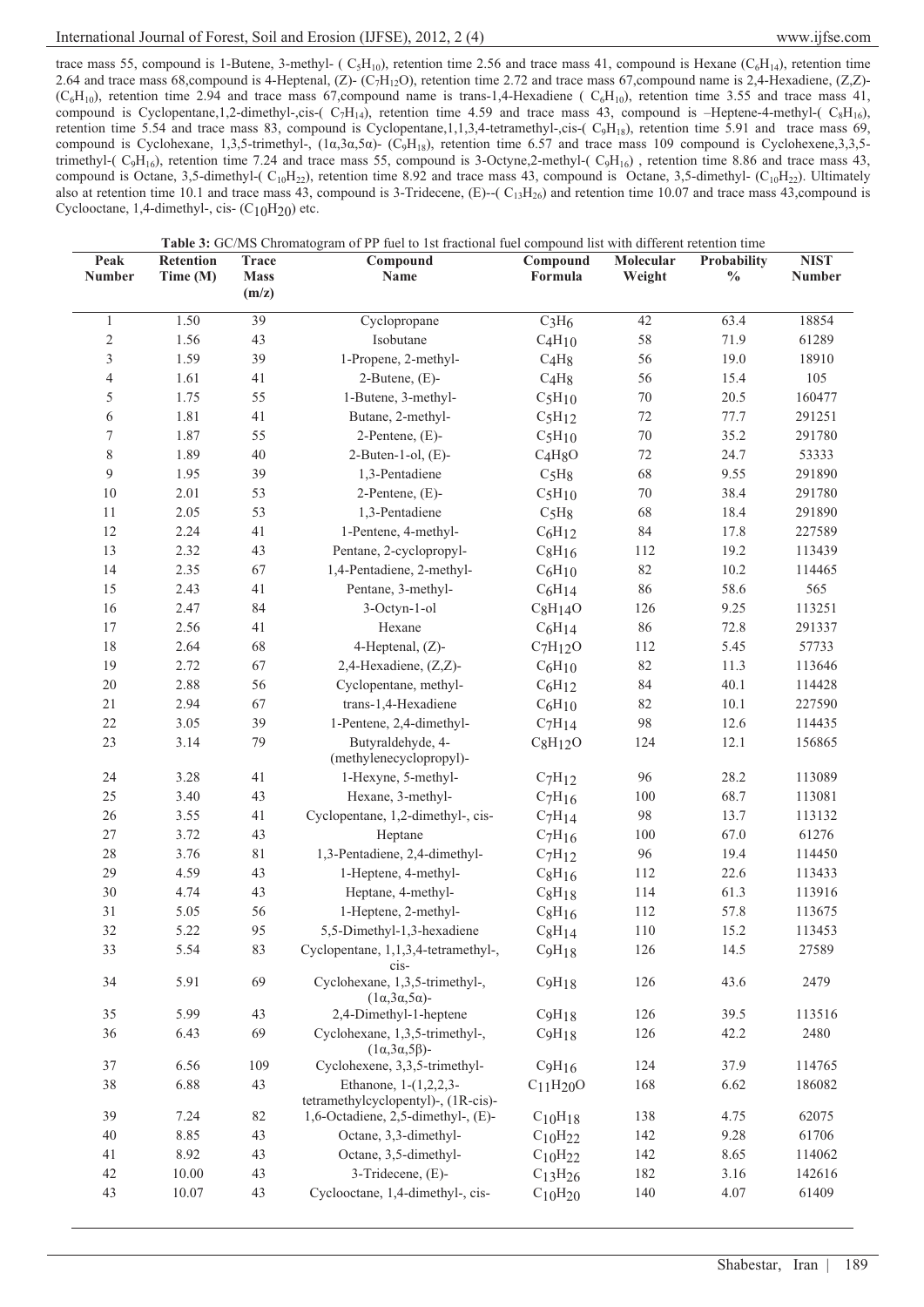# International Journal of Forest, Soil and Erosion (IJFSE), 2012, 2 (4) www.ijfse.com

trace mass 55, compound is 1-Butene, 3-methyl- ( $C_5H_{10}$ ), retention time 2.56 and trace mass 41, compound is Hexane ( $C_6H_{14}$ ), retention time 2.64 and trace mass 68,compound is 4-Heptenal,  $(Z)$ - $(C_7H_{12}O)$ , retention time 2.72 and trace mass 67,compound name is 2,4-Hexadiene,  $(Z,Z)$ - $(C_6H_{10})$ , retention time 2.94 and trace mass 67,compound name is trans-1,4-Hexadiene ( $C_6H_{10}$ ), retention time 3.55 and trace mass 41, compound is Cyclopentane,1,2-dimethyl-,cis-( $C_7H_{14}$ ), retention time 4.59 and trace mass 43, compound is -Heptene-4-methyl-( $C_8H_{16}$ ), retention time 5.54 and trace mass 83, compound is Cyclopentane,1,1,3,4-tetramethyl-,cis-( $C_9H_{18}$ ), retention time 5.91 and trace mass 69, compound is Cyclohexane, 1,3,5-trimethyl-,  $(1\alpha,3\alpha,5\alpha)$ - (C<sub>9</sub>H<sub>18</sub>), retention time 6.57 and trace mass 109 compound is Cyclohexene,3,3,5trimethyl-( $C_9H_{16}$ ), retention time 7.24 and trace mass 55, compound is 3-Octyne,2-methyl-( $C_9H_{16}$ ), retention time 8.86 and trace mass 43, compound is Octane, 3,5-dimethyl-( $C_{10}H_{22}$ ), retention time 8.92 and trace mass 43, compound is Octane, 3,5-dimethyl- ( $C_{10}H_{22}$ ). Ultimately also at retention time 10.1 and trace mass 43, compound is 3-Tridecene,  $(E)$ - $(C_{13}H_{26})$  and retention time 10.07 and trace mass 43, compound is Cyclooctane, 1,4-dimethyl-, cis-  $(C_{10}H_{20})$  etc.

| Peak           | Retention | <b>Trace</b> | Compound                                                        | Compound                          | Molecular | Probability   | <b>NIST</b> |
|----------------|-----------|--------------|-----------------------------------------------------------------|-----------------------------------|-----------|---------------|-------------|
| <b>Number</b>  | Time (M)  | <b>Mass</b>  | Name                                                            | Formula                           | Weight    | $\frac{0}{0}$ | Number      |
|                |           | (m/z)        |                                                                 |                                   |           |               |             |
| $\mathbf{1}$   | 1.50      | 39           | Cyclopropane                                                    | $C_3H_6$                          | 42        | 63.4          | 18854       |
| $\overline{c}$ | 1.56      | 43           | Isobutane                                                       | C <sub>4</sub> H <sub>10</sub>    | 58        | 71.9          | 61289       |
| $\mathfrak{Z}$ | 1.59      | 39           | 1-Propene, 2-methyl-                                            | C <sub>4</sub> H <sub>8</sub>     | 56        | 19.0          | 18910       |
| $\overline{4}$ | 1.61      | 41           | $2$ -Butene, $(E)$ -                                            | C <sub>4</sub> H <sub>8</sub>     | 56        | 15.4          | 105         |
| 5              | 1.75      | 55           | 1-Butene, 3-methyl-                                             | $C_5H_{10}$                       | $70\,$    | 20.5          | 160477      |
| 6              | 1.81      | 41           | Butane, 2-methyl-                                               | $C_5H_{12}$                       | $72\,$    | 77.7          | 291251      |
| 7              | 1.87      | 55           | $2$ -Pentene, $(E)$ -                                           | $C_5H_{10}$                       | $70\,$    | 35.2          | 291780      |
| $8\,$          | 1.89      | $40\,$       | $2$ -Buten-1-ol, $(E)$ -                                        | C <sub>4</sub> H <sub>8</sub> O   | $72\,$    | 24.7          | 53333       |
| 9              | 1.95      | 39           | 1,3-Pentadiene                                                  | $C_5H_8$                          | 68        | 9.55          | 291890      |
| $10\,$         | 2.01      | 53           | $2$ -Pentene, $(E)$ -                                           | $C_5H_{10}$                       | $70\,$    | 38.4          | 291780      |
| $1\,1$         | 2.05      | 53           | 1,3-Pentadiene                                                  | $C_5H_8$                          | 68        | 18.4          | 291890      |
| 12             | 2.24      | 41           | 1-Pentene, 4-methyl-                                            | $C_6H_{12}$                       | $\rm 84$  | 17.8          | 227589      |
| 13             | 2.32      | 43           | Pentane, 2-cyclopropyl-                                         | $C_8H_{16}$                       | 112       | 19.2          | 113439      |
| 14             | 2.35      | 67           | 1,4-Pentadiene, 2-methyl-                                       | $C_6H_{10}$                       | 82        | 10.2          | 114465      |
| 15             | 2.43      | 41           | Pentane, 3-methyl-                                              | $C_6H_{14}$                       | 86        | 58.6          | 565         |
| 16             | 2.47      | 84           | 3-Octyn-1-ol                                                    | $C_8H_14O$                        | 126       | 9.25          | 113251      |
| $17\,$         | 2.56      | 41           | Hexane                                                          | $C_6H_{14}$                       | 86        | 72.8          | 291337      |
| $1\,8$         | 2.64      | 68           | 4-Heptenal, (Z)-                                                | $C_7H_{12}O$                      | 112       | 5.45          | 57733       |
| 19             | 2.72      | 67           | 2,4-Hexadiene, (Z,Z)-                                           | $C_6H_{10}$                       | 82        | 11.3          | 113646      |
| $20\,$         | 2.88      | 56           | Cyclopentane, methyl-                                           | $C_6H_{12}$                       | 84        | 40.1          | 114428      |
| 21             | 2.94      | 67           | trans-1,4-Hexadiene                                             | C <sub>6</sub> H <sub>10</sub>    | 82        | 10.1          | 227590      |
| 22             | 3.05      | 39           | 1-Pentene, 2,4-dimethyl-                                        | $C_7H_{14}$                       | 98        | 12.6          | 114435      |
| 23             | 3.14      | 79           | Butyraldehyde, 4-<br>(methylenecyclopropyl)-                    | $C_8H_{12}O$                      | 124       | 12.1          | 156865      |
| 24             | 3.28      | 41           | 1-Hexyne, 5-methyl-                                             | $C_7H_{12}$                       | 96        | 28.2          | 113089      |
| 25             | 3.40      | 43           | Hexane, 3-methyl-                                               | $C_7H_{16}$                       | 100       | 68.7          | 113081      |
| 26             | 3.55      | 41           | Cyclopentane, 1,2-dimethyl-, cis-                               | $C_7H_{14}$                       | 98        | 13.7          | 113132      |
| 27             | 3.72      | 43           | Heptane                                                         | $C_7H_{16}$                       | 100       | 67.0          | 61276       |
| 28             | 3.76      | $8\sqrt{1}$  | 1,3-Pentadiene, 2,4-dimethyl-                                   | $C_7H_{12}$                       | 96        | 19.4          | 114450      |
| 29             | 4.59      | 43           | 1-Heptene, 4-methyl-                                            | CgH16                             | 112       | 22.6          | 113433      |
| 30             | 4.74      | 43           | Heptane, 4-methyl-                                              | CgH18                             | 114       | 61.3          | 113916      |
| 31             | 5.05      | 56           | 1-Heptene, 2-methyl-                                            | $C_8H_{16}$                       | 112       | 57.8          | 113675      |
| 32             | 5.22      | 95           | 5,5-Dimethyl-1,3-hexadiene                                      | $C_8H_{14}$                       | 110       | 15.2          | 113453      |
| 33             | 5.54      | 83           | Cyclopentane, 1,1,3,4-tetramethyl-,<br>cis-                     | C <sub>9</sub> H <sub>18</sub>    | 126       | 14.5          | 27589       |
| 34             | 5.91      | 69           | Cyclohexane, 1,3,5-trimethyl-,<br>$(1\alpha,3\alpha,5\alpha)$ - | C <sub>9</sub> H <sub>18</sub>    | 126       | 43.6          | 2479        |
| 35             | 5.99      | 43           | 2,4-Dimethyl-1-heptene                                          | C <sub>9</sub> H <sub>18</sub>    | 126       | 39.5          | 113516      |
| 36             | 6.43      | 69           | Cyclohexane, 1,3,5-trimethyl-,<br>$(1\alpha,3\alpha,5\beta)$ -  | C <sub>9</sub> H <sub>18</sub>    | 126       | 42.2          | 2480        |
| 37             | 6.56      | 109          | Cyclohexene, 3,3,5-trimethyl-                                   | C <sub>9</sub> H <sub>16</sub>    | 124       | 37.9          | 114765      |
| 38             | 6.88      | 43           | Ethanone, 1-(1,2,2,3-<br>tetramethylcyclopentyl)-, (1R-cis)-    | C <sub>11</sub> H <sub>20</sub> O | 168       | 6.62          | 186082      |
| 39             | 7.24      | 82           | 1,6-Octadiene, 2,5-dimethyl-, (E)-                              | $C_{10}H_{18}$                    | 138       | 4.75          | 62075       |
| 40             | 8.85      | 43           | Octane, 3,3-dimethyl-                                           | $C_{10}H_{22}$                    | 142       | 9.28          | 61706       |
| 41             | 8.92      | 43           | Octane, 3,5-dimethyl-                                           | $C_{10}H_{22}$                    | 142       | 8.65          | 114062      |
| 42             | 10.00     | 43           | 3-Tridecene, (E)-                                               | C <sub>13</sub> H <sub>26</sub>   | 182       | 3.16          | 142616      |
| 43             | 10.07     | 43           | Cyclooctane, 1,4-dimethyl-, cis-                                | $C_{10}H_{20}$                    | 140       | 4.07          | 61409       |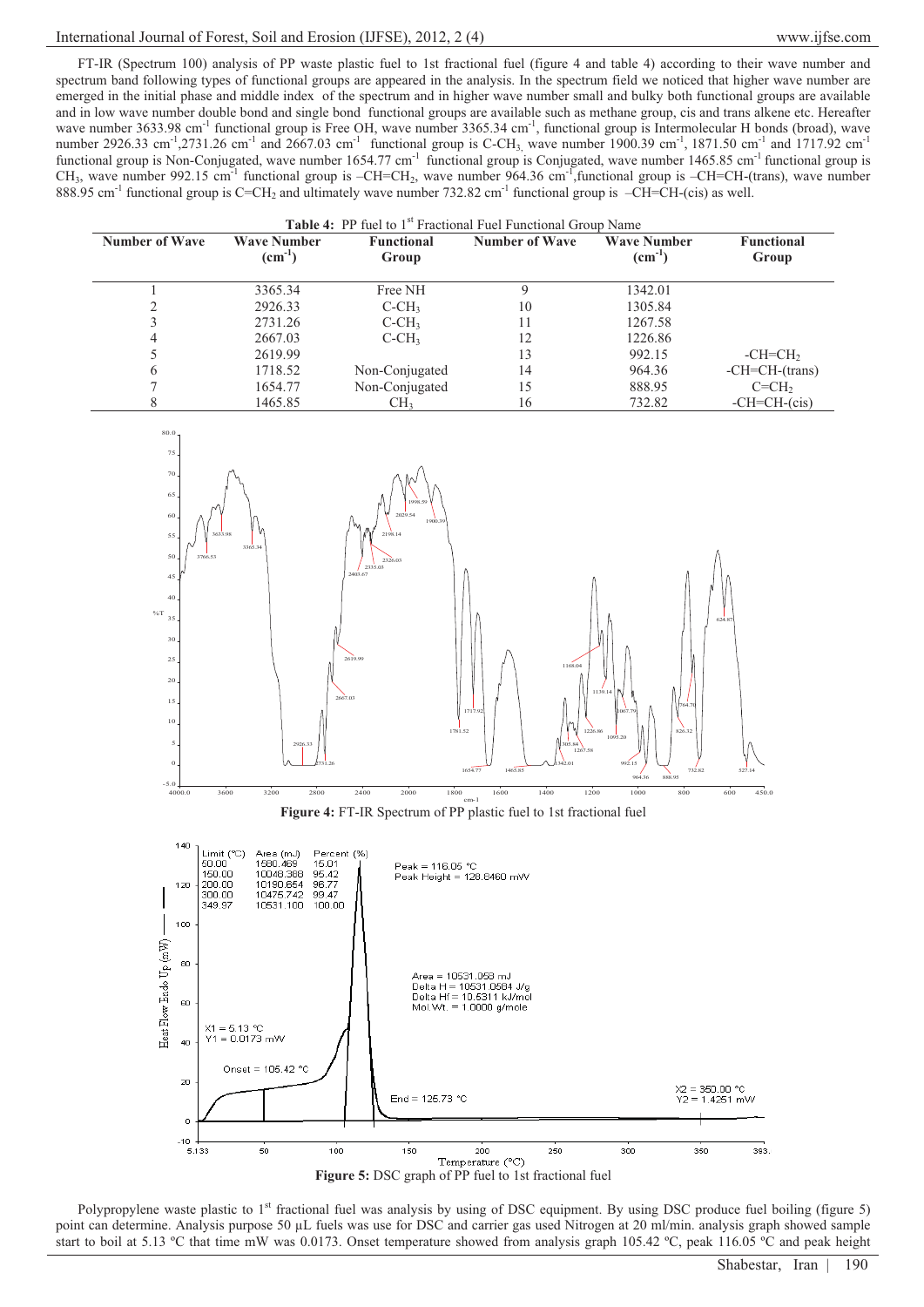# International Journal of Forest, Soil and Erosion (IJFSE), 2012, 2 (4) www.ijfse.com

FT-IR (Spectrum 100) analysis of PP waste plastic fuel to 1st fractional fuel (figure 4 and table 4) according to their wave number and spectrum band following types of functional groups are appeared in the analysis. In the spectrum field we noticed that higher wave number are emerged in the initial phase and middle index of the spectrum and in higher wave number small and bulky both functional groups are available and in low wave number double bond and single bond functional groups are available such as methane group, cis and trans alkene etc. Hereafter wave number 3633.98 cm<sup>-1</sup> functional group is Free OH, wave number 3365.34 cm<sup>-1</sup>, functional group is Intermolecular H bonds (broad), wave number 2926.33 cm<sup>-1</sup>,2731.26 cm<sup>-1</sup> and 2667.03 cm<sup>-1</sup> functional group is C-CH<sub>3,</sub> wave number 1900.39 cm<sup>-1</sup>, 1871.50 cm<sup>-1</sup> and 1717.92 cm<sup>-1</sup> functional group is Non-Conjugated, wave number  $1654.77 \text{ cm}^{-1}$  functional group is Conjugated, wave number  $1465.85 \text{ cm}^{-1}$  functional group is  $CH_3$ , wave number 992.15 cm<sup>-1</sup> functional group is  $-CH=CH_2$ , wave number 964.36 cm<sup>-1</sup>, functional group is  $-CH=CH$ -(trans), wave number 888.95 cm<sup>-1</sup> functional group is C=CH<sub>2</sub> and ultimately wave number 732.82 cm<sup>-1</sup> functional group is  $-CH=CH$ -(cis) as well.

| <b>Table 4:</b> PP fuel to 1 <sup>st</sup> Fractional Fuel Functional Group Name |                                   |                            |                |                                   |                            |  |
|----------------------------------------------------------------------------------|-----------------------------------|----------------------------|----------------|-----------------------------------|----------------------------|--|
| <b>Number of Wave</b>                                                            | <b>Wave Number</b><br>$(cm^{-1})$ | <b>Functional</b><br>Group | Number of Wave | <b>Wave Number</b><br>$(cm^{-1})$ | <b>Functional</b><br>Group |  |
|                                                                                  | 3365.34                           | Free NH                    | Q              | 1342.01                           |                            |  |
|                                                                                  | 2926.33                           | $C-CH3$                    | 10             | 1305.84                           |                            |  |
|                                                                                  | 2731.26                           | $C-CH3$                    | 11             | 1267.58                           |                            |  |
| 4                                                                                | 2667.03                           | $C-CH3$                    | 12             | 1226.86                           |                            |  |
|                                                                                  | 2619.99                           |                            | 13             | 992.15                            | $-CH=CH2$                  |  |
| 6                                                                                | 1718.52                           | Non-Conjugated             | 14             | 964.36                            | $-CH=CH-(trans)$           |  |
|                                                                                  | 1654.77                           | Non-Conjugated             | 15             | 888.95                            | $C = CH2$                  |  |
| 8                                                                                | 1465.85                           | CH <sub>3</sub>            | 16             | 732.82                            | $-CH=CH-(cis)$             |  |



Polypropylene waste plastic to 1<sup>st</sup> fractional fuel was analysis by using of DSC equipment. By using DSC produce fuel boiling (figure 5) point can determine. Analysis purpose 50 μL fuels was use for DSC and carrier gas used Nitrogen at 20 ml/min. analysis graph showed sample start to boil at 5.13 ºC that time mW was 0.0173. Onset temperature showed from analysis graph 105.42 ºC, peak 116.05 ºC and peak height